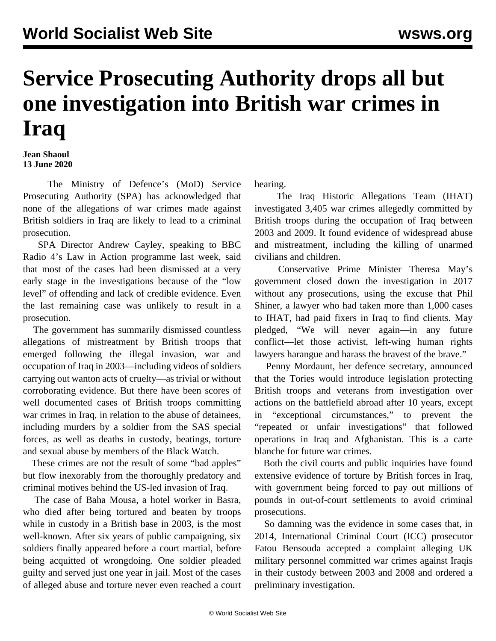## **Service Prosecuting Authority drops all but one investigation into British war crimes in Iraq**

**Jean Shaoul 13 June 2020**

 The Ministry of Defence's (MoD) Service Prosecuting Authority (SPA) has acknowledged that none of the allegations of war crimes made against British soldiers in Iraq are likely to lead to a criminal prosecution.

 SPA Director Andrew Cayley, speaking to BBC Radio 4's Law in Action programme last week, said that most of the cases had been dismissed at a very early stage in the investigations because of the "low level" of offending and lack of credible evidence. Even the last remaining case was unlikely to result in a prosecution.

 The government has summarily dismissed countless allegations of mistreatment by British troops that emerged following the illegal invasion, war and occupation of Iraq in 2003—including videos of soldiers carrying out wanton acts of cruelty—as trivial or without corroborating evidence. But there have been scores of well documented cases of British troops committing war crimes in Iraq, in relation to the abuse of detainees, including murders by a soldier from the SAS special forces, as well as deaths in custody, beatings, torture and sexual abuse by members of the Black Watch.

 These crimes are not the result of some "bad apples" but flow inexorably from the thoroughly predatory and criminal motives behind the US-led invasion of Iraq.

 The case of Baha Mousa, a hotel worker in Basra, who died after being tortured and beaten by troops while in custody in a British base in 2003, is the most well-known. After six years of public campaigning, six soldiers finally appeared before a court martial, before being acquitted of wrongdoing. One soldier pleaded guilty and served just one year in jail. Most of the cases of alleged abuse and torture never even reached a court hearing.

 The Iraq Historic Allegations Team (IHAT) investigated 3,405 war crimes allegedly committed by British troops during the occupation of Iraq between 2003 and 2009. It found evidence of widespread abuse and mistreatment, including the killing of unarmed civilians and children.

 Conservative Prime Minister Theresa May's government closed down the investigation in 2017 without any prosecutions, using the excuse that Phil Shiner, a lawyer who had taken more than 1,000 cases to IHAT, had paid fixers in Iraq to find clients. May pledged, "We will never again—in any future conflict—let those activist, left-wing human rights lawyers harangue and harass the bravest of the brave."

 Penny Mordaunt, her defence secretary, announced that the Tories would introduce legislation protecting British troops and veterans from investigation over actions on the battlefield abroad after 10 years, except in "exceptional circumstances," to prevent the "repeated or unfair investigations" that followed operations in Iraq and Afghanistan. This is a carte blanche for future war crimes.

 Both the civil courts and public inquiries have found extensive evidence of torture by British forces in Iraq, with government being forced to pay out millions of pounds in out-of-court settlements to avoid criminal prosecutions.

 So damning was the evidence in some cases that, in 2014, International Criminal Court (ICC) prosecutor Fatou Bensouda accepted a complaint alleging UK military personnel committed war crimes against Iraqis in their custody between 2003 and 2008 and ordered a preliminary investigation.